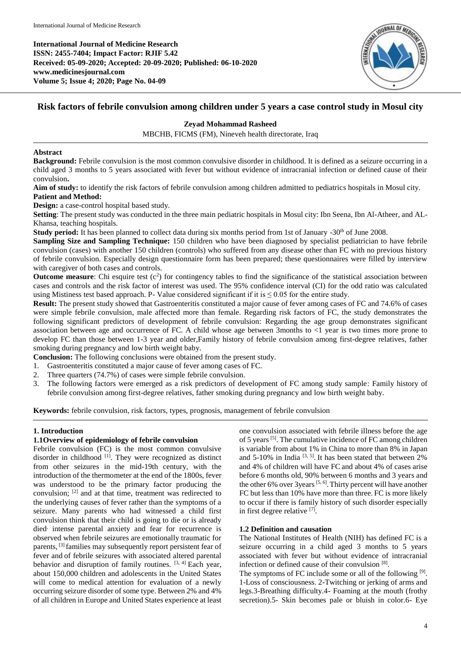**International Journal of Medicine Research ISSN: 2455-7404; Impact Factor: RJIF 5.42 Received: 05-09-2020; Accepted: 20-09-2020; Published: 06-10-2020 www.medicinesjournal.com Volume 5; Issue 4; 2020; Page No. 04-09**



# **Risk factors of febrile convulsion among children under 5 years a case control study in Mosul city**

# **Zeyad Mohammad Rasheed**

MBCHB, FICMS (FM), Nineveh health directorate, Iraq

### **Abstract**

**Background:** Febrile convulsion is the most common convulsive disorder in childhood. It is defined as a seizure occurring in a child aged 3 months to 5 years associated with fever but without evidence of intracranial infection or defined cause of their convulsion**.**

**Aim of study:** to identify the risk factors of febrile convulsion among children admitted to pediatrics hospitals in Mosul city. **Patient and Method:**

**Design:** a case-control hospital based study.

**Setting**: The present study was conducted in the three main pediatric hospitals in Mosul city: Ibn Seena, Ibn Al-Atheer, and AL-Khansa, teaching hospitals.

**Study period:** It has been planned to collect data during six months period from 1st of January -30<sup>th</sup> of June 2008.

**Sampling Size and Sampling Technique:** 150 children who have been diagnosed by specialist pediatrician to have febrile convulsion (cases) with another 150 children (controls) who suffered from any disease other than FC with no previous history of febrile convulsion. Especially design questionnaire form has been prepared; these questionnaires were filled by interview with caregiver of both cases and controls.

**Outcome measure**: Chi esquire test  $(c^2)$  for contingency tables to find the significance of the statistical association between cases and controls and the risk factor of interest was used. The 95% confidence interval (CI) for the odd ratio was calculated using Mistiness test based approach. P- Value considered significant if it is  $\leq 0.05$  for the entire study.

**Result:** The present study showed that Gastroenteritis constituted a major cause of fever among cases of FC and 74.6% of cases were simple febrile convulsion, male affected more than female. Regarding risk factors of FC, the study demonstrates the following significant predictors of development of febrile convulsion: Regarding the age group demonstrates significant association between age and occurrence of FC. A child whose age between 3months to <1 year is two times more prone to develop FC than those between 1-3 year and older,Family history of febrile convulsion among first-degree relatives, father smoking during pregnancy and low birth weight baby.

**Conclusion:** The following conclusions were obtained from the present study.

- 1. Gastroenteritis constituted a major cause of fever among cases of FC.
- 2. Three quarters (74.7%) of cases were simple febrile convulsion.
- 3. The following factors were emerged as a risk predictors of development of FC among study sample: Family history of febrile convulsion among first-degree relatives, father smoking during pregnancy and low birth weight baby.

**Keywords:** febrile convulsion, risk factors, types, prognosis, management of febrile convulsion

# **1. Introduction**

### **1.1Overview of epidemiology of febrile convulsion**

Febrile convulsion (FC) is the most common convulsive disorder in childhood <sup>[1]</sup>. They were recognized as distinct from other seizures in the mid-19th century, with the introduction of the thermometer at the end of the 1800s, fever was understood to be the primary factor producing the convulsion; [2] and at that time, treatment was redirected to the underlying causes of fever rather than the symptoms of a seizure. Many parents who had witnessed a child first convulsion think that their child is going to die or is already died<sup>,</sup> intense parental anxiety and fear for recurrence is observed when febrile seizures are emotionally traumatic for parents, [3] families may subsequently report persistent fear of fever and of febrile seizures with associated altered parental behavior and disruption of family routines. <sup>[3, 4]</sup> Each year, about 150,000 children and adolescents in the United States will come to medical attention for evaluation of a newly occurring seizure disorder of some type. Between 2% and 4% of all children in Europe and United States experience at least one convulsion associated with febrile illness before the age of 5 years <sup>[5]</sup>. The cumulative incidence of FC among children is variable from about 1% in China to more than 8% in Japan and  $5-10\%$  in India<sup>[3, 5]</sup>. It has been stated that between 2% and 4% of children will have FC and about 4% of cases arise before 6 months old, 90% between 6 months and 3 years and the other 6% over 3 years  $[5, 6]$ . Thirty percent will have another FC but less than 10% have more than three. FC is more likely to occur if there is family history of such disorder especially in first degree relative [7].

# **1.2 Definition and causation**

The National Institutes of Health (NIH) has defined FC is a seizure occurring in a child aged 3 months to 5 years associated with fever but without evidence of intracranial infection or defined cause of their convulsion [8] .

The symptoms of FC include some or all of the following [9]. 1-Loss of consciousness. 2-Twitching or jerking of arms and legs.3-Breathing difficulty.4- Foaming at the mouth (frothy secretion).5- Skin becomes pale or bluish in color.6- Eye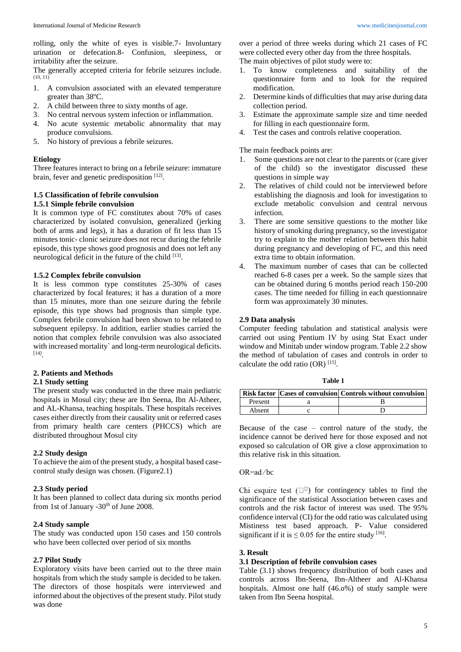rolling, only the white of eyes is visible.7- Involuntary urination or defecation.8- Confusion, sleepiness, or irritability after the seizure.

The generally accepted criteria for febrile seizures include. (10, 11)

- 1. A convulsion associated with an elevated temperature greater than 38ºC.
- 2. A child between three to sixty months of age.
- 3. No central nervous system infection or inflammation.
- 4. No acute systemic metabolic abnormality that may produce convulsions.
- 5. No history of previous a febrile seizures.

#### **Etiology**

Three features interact to bring on a febrile seizure: immature brain, fever and genetic predisposition [12].

# **1.5 Classification of febrile convulsion**

### **1.5.1 Simple febrile convulsion**

It is common type of FC constitutes about 70% of cases characterized by isolated convulsion, generalized (jerking both of arms and legs), it has a duration of fit less than 15 minutes tonic- clonic seizure does not recur during the febrile episode, this type shows good prognosis and does not left any neurological deficit in the future of the child <sup>[13]</sup>.

## **1.5.2 Complex febrile convulsion**

It is less common type constitutes 25-30% of cases characterized by focal features; it has a duration of a more than 15 minutes, more than one seizure during the febrile episode, this type shows bad prognosis than simple type. Complex febrile convulsion had been shown to be related to subsequent epilepsy. In addition, earlier studies carried the notion that complex febrile convulsion was also associated with increased mortality` and long-term neurological deficits. [14] .

# **2. Patients and Methods**

#### **2.1 Study setting**

The present study was conducted in the three main pediatric hospitals in Mosul city; these are Ibn Seena, Ibn Al-Atheer, and AL-Khansa, teaching hospitals. These hospitals receives cases either directly from their causality unit or referred cases from primary health care centers (PHCCS) which are distributed throughout Mosul city

#### **2.2 Study design**

To achieve the aim of the present study, a hospital based casecontrol study design was chosen. (Figure2.1)

### **2.3 Study period**

It has been planned to collect data during six months period from 1st of January  $-30<sup>th</sup>$  of June 2008.

### **2.4 Study sample**

The study was conducted upon 150 cases and 150 controls who have been collected over period of six months

### **2.7 Pilot Study**

Exploratory visits have been carried out to the three main hospitals from which the study sample is decided to be taken. The directors of those hospitals were interviewed and informed about the objectives of the present study. Pilot study was done

over a period of three weeks during which 21 cases of FC were collected every other day from the three hospitals. The main objectives of pilot study were to:

- 1. To know completeness and suitability of the questionnaire form and to look for the required modification.
- 2. Determine kinds of difficulties that may arise during data collection period.
- 3. Estimate the approximate sample size and time needed for filling in each questionnaire form.
- 4. Test the cases and controls relative cooperation.

The main feedback points are:

- 1. Some questions are not clear to the parents or (care giver of the child) so the investigator discussed these questions in simple way
- 2. The relatives of child could not be interviewed before establishing the diagnosis and look for investigation to exclude metabolic convulsion and central nervous infection.
- 3. There are some sensitive questions to the mother like history of smoking during pregnancy, so the investigator try to explain to the mother relation between this habit during pregnancy and developing of FC, and this need extra time to obtain information.
- 4. The maximum number of cases that can be collected reached 6-8 cases per a week. So the sample sizes that can be obtained during 6 months period reach 150-200 cases. The time needed for filling in each questionnaire form was approximately 30 minutes.

# **2.9 Data analysis**

Computer feeding tabulation and statistical analysis were carried out using Pentium IV by using Stat Exact under window and Minitab under window program. Table 2.2 show the method of tabulation of cases and controls in order to calculate the odd ratio  $(OR)$ <sup>[15]</sup>.

| v<br>۰,<br>۰, |  |
|---------------|--|
|---------------|--|

|         | <b>Risk factor Cases of convulsion Controls without convulsion</b> |
|---------|--------------------------------------------------------------------|
| Present |                                                                    |
| Absent  |                                                                    |

Because of the case – control nature of the study, the incidence cannot be derived here for those exposed and not exposed so calculation of OR give a close approximation to this relative risk in this situation.

#### OR=ad ∕ bc

Chi esquire test  $(\Box^{\Box})$  for contingency tables to find the significance of the statistical Association between cases and controls and the risk factor of interest was used. The 95% confidence interval (CI) for the odd ratio was calculated using Mistiness test based approach. P- Value considered significant if it is  $\leq 0.05$  for the entire study [16].

#### **3. Result**

#### **3.1 Description of febrile convulsion cases**

Table (3.1) shows frequency distribution of both cases and controls across Ibn-Seena, Ibn-Altheer and Al-Khansa hospitals. Almost one half (46.o%) of study sample were taken from Ibn Seena hospital.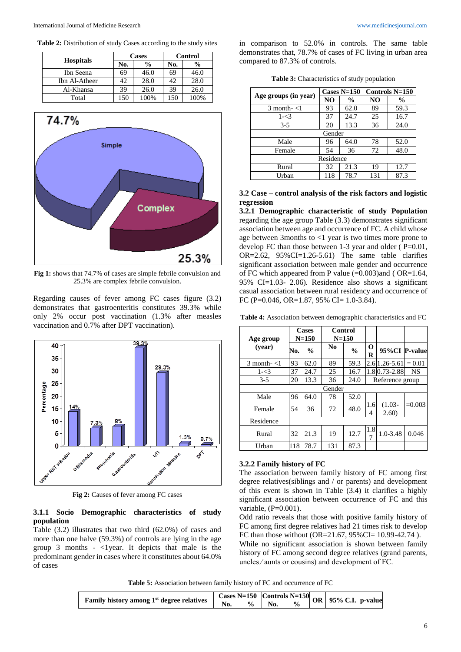|                  |     | Cases         | Control |      |  |
|------------------|-----|---------------|---------|------|--|
| <b>Hospitals</b> | No. | $\frac{6}{9}$ | No.     | %    |  |
| Ibn Seena        | 69  | 46.0          | 69      | 46.0 |  |
| Ibn Al-Atheer    | 42  | 28.0          |         | 28.0 |  |
| Al-Khansa        | 39  | 26.0          | 39      | 26.0 |  |
| Total            | 150 | 100%          | 150     | 100% |  |



**Fig 1:** shows that 74.7% of cases are simple febrile convulsion and 25.3% are complex febrile convulsion.

Regarding causes of fever among FC cases figure (3.2) demonstrates that gastroenteritis constitutes 39.3% while only 2% occur post vaccination (1.3% after measles vaccination and 0.7% after DPT vaccination).



Fig 2: Causes of fever among FC cases

### **3.1.1 Socio Demographic characteristics of study population**

Table (3.2) illustrates that two third (62.0%) of cases and more than one halve (59.3%) of controls are lying in the age group 3 months -  $\langle$ 1 year. It depicts that male is the predominant gender in cases where it constitutes about 64.0% of cases

in comparison to 52.0% in controls. The same table demonstrates that, 78.7% of cases of FC living in urban area compared to 87.3% of controls.

|  | <b>Table 3:</b> Characteristics of study population |  |  |
|--|-----------------------------------------------------|--|--|
|--|-----------------------------------------------------|--|--|

| Age groups (in year) |                | Cases $N=150$ | Controls $N=150$ |               |  |  |  |
|----------------------|----------------|---------------|------------------|---------------|--|--|--|
|                      | N <sub>O</sub> | $\frac{6}{9}$ | NO               | $\frac{0}{0}$ |  |  |  |
| $3$ month- $<$ 1     | 93             | 62.0          | 89               | 59.3          |  |  |  |
| $1 - 3$              | 37             | 24.7          | 25               | 16.7          |  |  |  |
| $3 - 5$              | 20             | 13.3          | 36               | 24.0          |  |  |  |
|                      | Gender         |               |                  |               |  |  |  |
| Male                 | 96             | 64.0          | 78               | 52.0          |  |  |  |
| Female               | 54             | 36            | 72               | 48.0          |  |  |  |
| Residence            |                |               |                  |               |  |  |  |
| Rural                | 32             | 21.3          | 19               | 12.7          |  |  |  |
| Urban                | 118            | 78.7          | 131              | 87.3          |  |  |  |

#### **3.2 Case – control analysis of the risk factors and logistic regression**

**3.2.1 Demographic characteristic of study Population**  regarding the age group Table (3.3) demonstrates significant association between age and occurrence of FC. A child whose age between 3months to <1 year is two times more prone to develop FC than those between 1-3 year and older ( P=0.01, OR= $2.62$ ,  $95\%$ CI= $1.26-5.61$ ) The same table clarifies significant association between male gender and occurrence of FC which appeared from P value  $(=0.003)$  and (OR=1.64, 95% CI=1.03- 2.06). Residence also shows a significant casual association between rural residency and occurrence of FC (P=0.046, OR=1.87, 95% CI= 1.0-3.84).

**Table 4:** Association between demographic characteristics and FC

| Age group        |     | Cases<br>$N = 150$ | Control<br>$N = 150$ |               |               |                    |          |
|------------------|-----|--------------------|----------------------|---------------|---------------|--------------------|----------|
| (year)           | No. | $\frac{0}{0}$      | N <sub>0</sub>       | $\frac{0}{0}$ | $\bf{0}$<br>R | 95%CI P-value      |          |
| $3$ month- $<$ 1 | 93  | 62.0               | 89                   | 59.3          |               | 2.6 1.26 - 5.61    | $= 0.01$ |
| $1 - 3$          | 37  | 24.7               | 25                   | 16.7          |               | 1.80.73-2.88       | NS       |
| $3 - 5$          | 20  | 13.3               | 36                   | 24.0          |               | Reference group    |          |
|                  |     |                    | Gender               |               |               |                    |          |
| Male             | 96  | 64.0               | 78                   | 52.0          |               |                    |          |
| Female           | 54  | 36                 | 72                   | 48.0          | 1.6<br>4      | $(1.03 -$<br>2.60) | $=0.003$ |
| Residence        |     |                    |                      |               |               |                    |          |
| Rural            | 32  | 21.3               | 19                   | 12.7          | 1.8<br>7      | $1.0 - 3.48$       | 0.046    |
| Urban            | 118 | 78.7               | 131                  | 87.3          |               |                    |          |

#### **3.2.2 Family history of FC**

The association between family history of FC among first degree relatives(siblings and / or parents) and development of this event is shown in Table (3.4) it clarifies a highly significant association between occurrence of FC and this variable, (P=0.001).

Odd ratio reveals that those with positive family history of FC among first degree relatives had 21 times risk to develop FC than those without (OR=21.67, 95%CI= 10.99-42.74 ).

While no significant association is shown between family history of FC among second degree relatives (grand parents, uncles ∕ aunts or cousins) and development of FC.

**Table 5:** Association between family history of FC and occurrence of FC

| <b>Cases N=150</b> Controls N=150 OR 95% C.I. $p$ -value<br>Family history among 1 <sup>st</sup> degree relatives |  |               |                              |  |  |  |
|-------------------------------------------------------------------------------------------------------------------|--|---------------|------------------------------|--|--|--|
|                                                                                                                   |  | $\frac{0}{0}$ | $\overline{\phantom{a}}$ No. |  |  |  |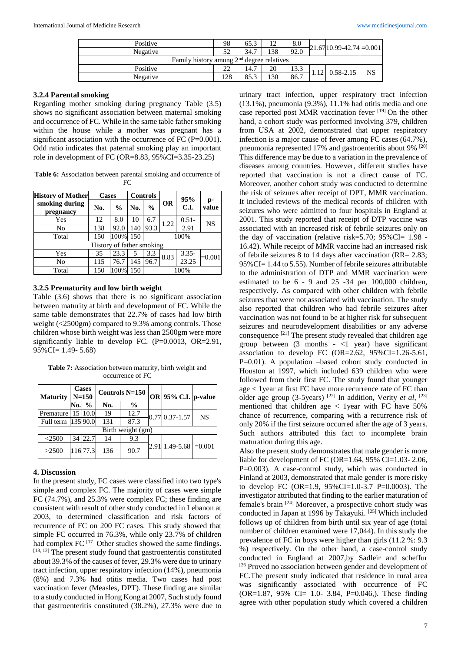| Positive                                              | 98  | 65.3 | 12  | $_{\rm 8.0}$ |  | $-21.6710.99 - 42.74 = 0.001$ |           |  |  |
|-------------------------------------------------------|-----|------|-----|--------------|--|-------------------------------|-----------|--|--|
| Negative                                              | 52  | 34.7 | 138 | 92.0         |  |                               |           |  |  |
| Family history among 2 <sup>nd</sup> degree relatives |     |      |     |              |  |                               |           |  |  |
| Positive                                              | 22  | 14.7 | 20  | 13.3         |  |                               | <b>NS</b> |  |  |
| Negative                                              | 128 | 85.3 | 130 | 86.7         |  | $1.12 \mid 0.58 - 2.15$       |           |  |  |

#### **3.2.4 Parental smoking**

Regarding mother smoking during pregnancy Table (3.5) shows no significant association between maternal smoking and occurrence of FC. While in the same table father smoking within the house while a mother was pregnant has a significant association with the occurrence of FC (P=0.001). Odd ratio indicates that paternal smoking play an important role in development of FC (OR=8.83, 95%CI=3.35-23.25)

**Table 6:** Association between parental smoking and occurrence of FC

| <b>History of Mother</b>    | <b>Cases</b>              |               | <b>Controls</b> |               |           | 95%            |             |  |
|-----------------------------|---------------------------|---------------|-----------------|---------------|-----------|----------------|-------------|--|
| smoking during<br>pregnancy | No.                       | $\frac{0}{0}$ | No.             | $\frac{0}{0}$ | <b>OR</b> | C.I.           | p-<br>value |  |
| Yes                         | 12                        | 8.0           | 10              | 6.7           | 1.22      | $0.51 -$       | NS          |  |
| No                          | 138                       | 92.0          | 140             | 93.3          |           | 2.91           |             |  |
| Total                       | 150                       | 100%          | 150             | 100%          |           |                |             |  |
|                             | History of father smoking |               |                 |               |           |                |             |  |
| Yes                         | 35                        | 23.3          | 5               | 3.3           | 8.83      | 3.35-<br>23.25 | $=0.001$    |  |
| No                          | 115                       | 76.7          | 145             | 96.7          |           |                |             |  |
| Total                       | 150                       | 100%          | 150             |               |           | 100%           |             |  |

#### **3.2.5 Prematurity and low birth weight**

Table (3.6) shows that there is no significant association between maturity at birth and development of FC. While the same table demonstrates that 22.7% of cases had low birth weight (<2500gm) compared to 9.3% among controls. Those children whose birth weight was less than 2500gm were more significantly liable to develop FC. (P=0.0013, OR=2.91, 95%CI= 1.49- 5.68)

**Table 7:** Association between maturity, birth weight and occurrence of FC

| <b>Maturity</b>       | <b>Cases</b><br>$N = 150$ |               | Controls N=150 |                   | OR 95% C.I. p-value |           |
|-----------------------|---------------------------|---------------|----------------|-------------------|---------------------|-----------|
|                       | No.l                      | $\frac{0}{0}$ | No.            | $\frac{0}{0}$     |                     |           |
| Premature             |                           | 15 10.0       | 19             | 12.7              | $0.77$ 0.37-1.57    | <b>NS</b> |
| Full term   135  90.0 |                           |               | 131            | 87.3              |                     |           |
|                       |                           |               |                | Birth weight (gm) |                     |           |
| $<$ 2500              |                           | 34 22.7       | 14             | 9.3               |                     |           |
| >2500                 |                           | 116 77.3      | 136            | 90.7              | 2.91 1.49-5.68      | $=0.001$  |

#### **4. Discussion**

In the present study, FC cases were classified into two type's simple and complex FC. The majority of cases were simple FC (74.7%), and 25.3% were complex FC; these finding are consistent with result of other study conducted in Lebanon at 2003, to determined classification and risk factors of recurrence of FC on 200 FC cases. This study showed that simple FC occurred in 76.3%, while only 23.7% of children had complex FC <sup>[17]</sup> Other studies showed the same findings. [18, 12] The present study found that gastroenteritis constituted about 39.3% of the causes of fever, 29.3% were due to urinary tract infection, upper respiratory infection (14%), pneumonia (8%) and 7.3% had otitis media. Two cases had post vaccination fever (Measles, DPT). These finding are similar to a study conducted in Hong Kong at 2007, Such study found that gastroenteritis constituted (38.2%), 27.3% were due to

urinary tract infection, upper respiratory tract infection  $(13.1\%)$ , pneumonia  $(9.3\%)$ , 11.1% had otitis media and one case reported post MMR vaccination fever [19] On the other hand, a cohort study was performed involving 379, children from USA at 2002, demonstrated that upper respiratory infection is a major cause of fever among FC cases (64.7%), pneumonia represented 17% and gastroenteritis about 9% <sup>[20]</sup> This difference may be due to a variation in the prevalence of diseases among countries. However, different studies have reported that vaccination is not a direct cause of FC. Moreover, another cohort study was conducted to determine the risk of seizures after receipt of DPT, MMR vaccination. It included reviews of the medical records of children with seizures who were admitted to four hospitals in England at 2001. This study reported that receipt of DTP vaccine was associated with an increased risk of febrile seizures only on the day of vaccination (relative risk=5.70; 95%CI= 1.98 - 16.42). While receipt of MMR vaccine had an increased risk of febrile seizures 8 to 14 days after vaccination (RR= 2.83; 95%CI= 1.44 to 5.55). Number of febrile seizures attributable to the administration of DTP and MMR vaccination were estimated to be 6 - 9 and 25 -34 per 100,000 children, respectively. As compared with other children with febrile seizures that were not associated with vaccination. The study also reported that children who had febrile seizures after vaccination was not found to be at higher risk for subsequent seizures and neurodevelopment disabilities or any adverse consequence  $[21]$  The present study revealed that children age group between  $(3 \text{ months } - 1 \text{ year})$  have significant association to develop FC (OR=2.62, 95%CI=1.26-5.61, P=0.01). A population –based cohort study conducted in Houston at 1997, which included 639 children who were followed from their first FC. The study found that younger age < 1year at first FC have more recurrence rate of FC than older age group (3-5years)<sup>[22]</sup> In addition, Verity *et al*, <sup>[23]</sup> mentioned that children age  $\langle$  1year with FC have 50% chance of recurrence, comparing with a recurrence risk of only 20% if the first seizure occurred after the age of 3 years. Such authors attributed this fact to incomplete brain maturation during this age.

Also the present study demonstrates that male gender is more liable for development of FC (OR=1.64, 95% CI=1.03- 2.06, P=0.003). A case-control study, which was conducted in Finland at 2003, demonstrated that male gender is more risky to develop FC (OR=1.9, 95%CI=1.0-3.7 P=0.0003). The investigator attributed that finding to the earlier maturation of female's brain [24] Moreover, a prospective cohort study was conducted in Japan at 1996 by Takayuki. [25] Which included follows up of children from birth until six year of age (total number of children examined were 17,044). In this study the prevalence of FC in boys were higher than girls (11.2 %: 9.3 %) respectively. On the other hand, a case-control study conducted in England at 2007,by Sadleir and scheffur <sup>[26]</sup>Proved no association between gender and development of FC.The present study indicated that residence in rural area was significantly associated with occurrence of FC (OR=1.87, 95% CI= 1.0- 3.84, P=0.046,). These finding agree with other population study which covered a children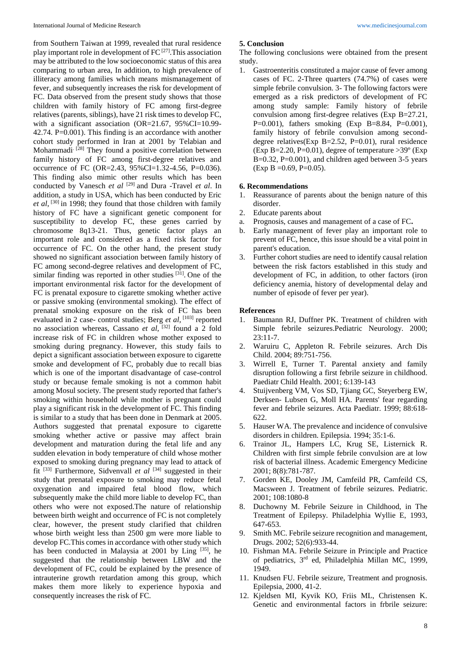from Southern Taiwan at 1999, revealed that rural residence play important role in development of  $FC^{[27]}$ . This association may be attributed to the low socioeconomic status of this area comparing to urban area, In addition, to high prevalence of illiteracy among families which means mismanagement of fever, and subsequently increases the risk for development of FC. Data observed from the present study shows that those children with family history of FC among first-degree relatives (parents, siblings), have 21 risk times to develop FC, with a significant association (OR=21.67, 95%CI=10.99-42.74. P=0.001). This finding is an accordance with another cohort study performed in Iran at 2001 by Telabian and Mohammadi<sup>[28]</sup> They found a positive correlation between family history of FC among first-degree relatives and occurrence of FC (OR=2.43, 95%CI=1.32-4.56, P=0.036). This finding also mimic other results which has been conducted by Vanesch *et al* [29] and Dura -Travel *et al*. In addition, a study in USA, which has been conducted by Eric *et al*, [30] in 1998; they found that those children with family history of FC have a significant genetic component for susceptibility to develop FC, these genes carried by chromosome 8q13-21. Thus, genetic factor plays an important role and considered as a fixed risk factor for occurrence of FC. On the other hand, the present study showed no significant association between family history of FC among second-degree relatives and development of FC, similar finding was reported in other studies  $[31]$ . One of the important environmental risk factor for the development of FC is prenatal exposure to cigarette smoking whether active or passive smoking (environmental smoking). The effect of prenatal smoking exposure on the risk of FC has been evaluated in 2 case- control studies; Berg *et al*, <sup>[103]</sup> reported no association whereas, Cassano *et al*, [32] found a 2 fold increase risk of FC in children whose mother exposed to smoking during pregnancy. However, this study fails to depict a significant association between exposure to cigarette smoke and development of FC, probably due to recall bias which is one of the important disadvantage of case-control study or because female smoking is not a common habit among Mosul society. The present study reported that father's smoking within household while mother is pregnant could play a significant risk in the development of FC. This finding is similar to a study that has been done in Denmark at 2005. Authors suggested that prenatal exposure to cigarette smoking whether active or passive may affect brain development and maturation during the fetal life and any sudden elevation in body temperature of child whose mother exposed to smoking during pregnancy may lead to attack of fit [33] Furthermore, Sidvenvall *et al* [34] suggested in their study that prenatal exposure to smoking may reduce fetal oxygenation and impaired fetal blood flow, which subsequently make the child more liable to develop FC, than others who were not exposed.The nature of relationship between birth weight and occurrence of FC is not completely clear, however, the present study clarified that children whose birth weight less than 2500 gm were more liable to develop FC.This comes in accordance with other study which has been conducted in Malaysia at 2001 by Ling [35], he suggested that the relationship between LBW and the development of FC, could be explained by the presence of intrauterine growth retardation among this group, which makes them more likely to experience hypoxia and consequently increases the risk of FC.

#### **5. Conclusion**

The following conclusions were obtained from the present study.

1. Gastroenteritis constituted a major cause of fever among cases of FC. 2-Three quarters (74.7%) of cases were simple febrile convulsion. 3- The following factors were emerged as a risk predictors of development of FC among study sample: Family history of febrile convulsion among first-degree relatives (Exp B=27.21, P=0.001), fathers smoking (Exp B=8.84, P=0.001), family history of febrile convulsion among seconddegree relatives(Exp B=2.52, P=0.01), rural residence (Exp B=2.20, P=0.01), degree of temperature  $>39^{\circ}$  (Exp B=0.32, P=0.001), and children aged between 3-5 years  $(Exp B = 0.69, P = 0.05).$ 

#### **6. Recommendations**

- 1. Reassurance of parents about the benign nature of this disorder.
- 2. Educate parents about
- a. Prognosis, causes and management of a case of FC**.**
- b. Early management of fever play an important role to prevent of FC, hence, this issue should be a vital point in parent's education.
- 3. Further cohort studies are need to identify causal relation between the risk factors established in this study and development of FC, in addition, to other factors (iron deficiency anemia, history of developmental delay and number of episode of fever per year).

#### **References**

- 1. Baumann RJ, Duffner PK. Treatment of children with Simple febrile seizures.Pediatric Neurology. 2000;  $23:11-7$ .
- 2. Waruiru C, Appleton R. Febrile seizures. Arch Dis Child. 2004; 89:751-756.
- 3. Wirrell E, Turner T. Parental anxiety and family disruption following a first febrile seizure in childhood. Paediatr Child Health. 2001; 6:139-143
- 4. Stuijvenberg VM, Vos SD, Tjiang GC, Steyerberg EW, Derksen- Lubsen G, Moll HA. Parents' fear regarding fever and febrile seizures. Acta Paediatr. 1999; 88:618- 622.
- 5. Hauser WA. The prevalence and incidence of convulsive disorders in children. Epilepsia. 1994; 35:1-6.
- 6. Trainor JL, Hampers LC, Krug SE, Listernick R. Children with first simple febrile convulsion are at low risk of bacterial illness. Academic Emergency Medicine 2001; 8(8):781-787.
- 7. Gorden KE, Dooley JM, Camfeild PR, Camfeild CS, Macsween J. Treatment of febrile seizures. Pediatric. 2001; 108:1080-8
- 8. Duchowny M. Febrile Seizure in Childhood, in The Treatment of Epilepsy. Philadelphia Wyllie E, 1993, 647-653.
- 9. Smith MC. Febrile seizure recognition and management, Drugs. 2002; 52(6):933-44.
- 10. Fishman MA. Febrile Seizure in Principle and Practice of pediatrics, 3rd ed, Philadelphia Millan MC, 1999, 1949.
- 11. Knudsen FU. Febrile seizure, Treatment and prognosis. Epilepsia, 2000, 41-2.
- 12. Kjeldsen MI, Kyvik KO, Friis ML, Christensen K. Genetic and environmental factors in frbrile seizure: